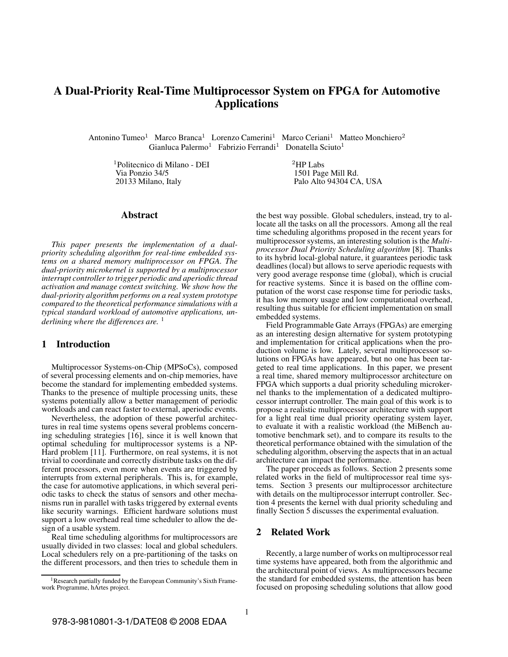# A Dual-Priority Real-Time Multiprocessor System on FPGA for Automotive Applications

Antonino Tumeo<sup>1</sup> Marco Branca<sup>1</sup> Lorenzo Camerini<sup>1</sup> Marco Ceriani<sup>1</sup> Matteo Monchiero<sup>2</sup> Gianluca Palermo<sup>1</sup> Fabrizio Ferrandi<sup>1</sup> Donatella Sciuto<sup>1</sup>

<sup>1</sup>Politecnico di Milano - DEI  $^{2}$ HP Labs<br>Via Ponzio 34/5  $^{2}$ 1501 Pago Via Ponzio 34/5 1501 Page Mill Rd.<br>20133 Milano, Italy 1502 1501 Palo Alto 94304 CA

Palo Alto 94304 CA, USA

## Abstract

*This paper presents the implementation of a dualpriority scheduling algorithm for real-time embedded systems on a shared memory multiprocessor on FPGA. The dual-priority microkernel is supported by a multiprocessor interrupt controller to trigger periodic and aperiodic thread activation and manage context switching. We show how the dual-priority algorithm performs on a real system prototype compared to the theoretical performance simulations with a typical standard workload of automotive applications, underlining where the differences are.* <sup>1</sup>

## 1 Introduction

Multiprocessor Systems-on-Chip (MPSoCs), composed of several processing elements and on-chip memories, have become the standard for implementing embedded systems. Thanks to the presence of multiple processing units, these systems potentially allow a better management of periodic workloads and can react faster to external, aperiodic events.

Nevertheless, the adoption of these powerful architectures in real time systems opens several problems concerning scheduling strategies [16], since it is well known that optimal scheduling for multiprocessor systems is a NP-Hard problem [11]. Furthermore, on real systems, it is not trivial to coordinate and correctly distribute tasks on the different processors, even more when events are triggered by interrupts from external peripherals. This is, for example, the case for automotive applications, in which several periodic tasks to check the status of sensors and other mechanisms run in parallel with tasks triggered by external events like security warnings. Efficient hardware solutions must support a low overhead real time scheduler to allow the design of a usable system.

Real time scheduling algorithms for multiprocessors are usually divided in two classes: local and global schedulers. Local schedulers rely on a pre-partitioning of the tasks on the different processors, and then tries to schedule them in

the best way possible. Global schedulers, instead, try to allocate all the tasks on all the processors. Among all the real time scheduling algorithms proposed in the recent years for multiprocessor systems, an interesting solution is the *Multiprocessor Dual Priority Scheduling algorithm* [8]. Thanks to its hybrid local-global nature, it guarantees periodic task deadlines (local) but allows to serve aperiodic requests with very good average response time (global), which is crucial for reactive systems. Since it is based on the offline computation of the worst case response time for periodic tasks, it has low memory usage and low computational overhead, resulting thus suitable for efficient implementation on small embedded systems.

Field Programmable Gate Arrays (FPGAs) are emerging as an interesting design alternative for system prototyping and implementation for critical applications when the production volume is low. Lately, several multiprocessor solutions on FPGAs have appeared, but no one has been targeted to real time applications. In this paper, we present a real time, shared memory multiprocessor architecture on FPGA which supports a dual priority scheduling microkernel thanks to the implementation of a dedicated multiprocessor interrupt controller. The main goal of this work is to propose a realistic multiprocessor architecture with support for a light real time dual priority operating system layer, to evaluate it with a realistic workload (the MiBench automotive benchmark set), and to compare its results to the theoretical performance obtained with the simulation of the scheduling algorithm, observing the aspects that in an actual architecture can impact the performance.

The paper proceeds as follows. Section 2 presents some related works in the field of multiprocessor real time systems. Section 3 presents our multiprocessor architecture with details on the multiprocessor interrupt controller. Section 4 presents the kernel with dual priority scheduling and finally Section 5 discusses the experimental evaluation.

#### 2 Related Work

Recently, a large number of works on multiprocessor real time systems have appeared, both from the algorithmic and the architectural point of views. As multiprocessors became the standard for embedded systems, the attention has been focused on proposing scheduling solutions that allow good

<sup>&</sup>lt;sup>1</sup>Research partially funded by the European Community's Sixth Framework Programme, hArtes project.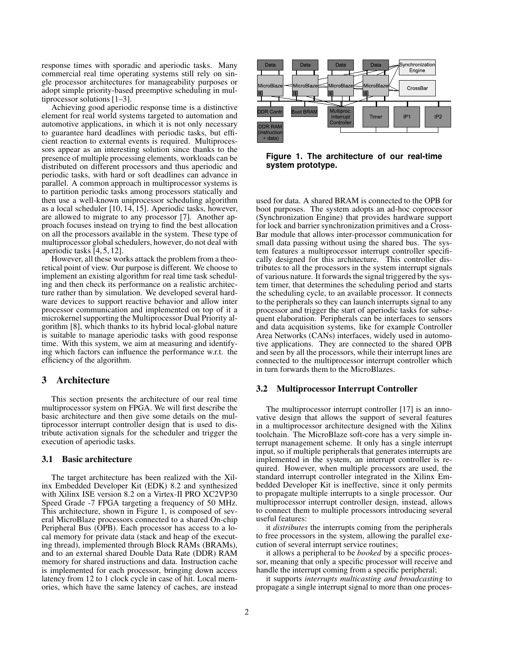response times with sporadic and aperiodic tasks. Many commercial real time operating systems still rely on single processor architectures for manageability purposes or adopt simple priority-based preemptive scheduling in multiprocessor solutions [1–3].

Achieving good aperiodic response time is a distinctive element for real world systems targeted to automation and automotive applications, in which it is not only necessary to guarantee hard deadlines with periodic tasks, but efficient reaction to external events is required. Multiprocessors appear as an interesting solution since thanks to the presence of multiple processing elements, workloads can be distributed on different processors and thus aperiodic and periodic tasks, with hard or soft deadlines can advance in parallel. A common approach in multiprocessor systems is to partition periodic tasks among processors statically and then use a well-known uniprocessor scheduling algorithm as a local scheduler [10, 14, 15]. Aperiodic tasks, however, are allowed to migrate to any processor [7]. Another approach focuses instead on trying to find the best allocation on all the processors available in the system. These type of multiprocessor global schedulers, however, do not deal with aperiodic tasks [4, 5, 12].

However, all these works attack the problem from a theoretical point of view. Our purpose is different. We choose to implement an existing algorithm for real time task scheduling and then check its performance on a realistic architecture rather than by simulation. We developed several hardware devices to support reactive behavior and allow inter processor communication and implemented on top of it a microkernel supporting the Multiprocessor Dual Priority algorithm [8], which thanks to its hybrid local-global nature is suitable to manage aperiodic tasks with good response time. With this system, we aim at measuring and identifying which factors can influence the performance w.r.t. the efficiency of the algorithm.

#### 3 Architecture

This section presents the architecture of our real time multiprocessor system on FPGA. We will first describe the basic architecture and then give some details on the multiprocessor interrupt controller design that is used to distribute activation signals for the scheduler and trigger the execution of aperiodic tasks.

#### 3.1 Basic architecture

The target architecture has been realized with the Xilinx Embedded Developer Kit (EDK) 8.2 and synthesized with Xilinx ISE version 8.2 on a Virtex-II PRO XC2VP30 Speed Grade -7 FPGA targeting a frequency of 50 MHz. This architecture, shown in Figure 1, is composed of several MicroBlaze processors connected to a shared On-chip Peripheral Bus (OPB). Each processor has access to a local memory for private data (stack and heap of the executing thread), implemented through Block RAMs (BRAMs), and to an external shared Double Data Rate (DDR) RAM memory for shared instructions and data. Instruction cache is implemented for each processor, bringing down access latency from 12 to 1 clock cycle in case of hit. Local memories, which have the same latency of caches, are instead



**Figure 1. The architecture of our real-time system prototype.**

used for data. A shared BRAM is connected to the OPB for boot purposes. The system adopts an ad-hoc coprocessor (Synchronization Engine) that provides hardware support for lock and barrier synchronization primitives and a Cross-Bar module that allows inter-processor communication for small data passing without using the shared bus. The system features a multiprocessor interrupt controller specifically designed for this architecture. This controller distributes to all the processors in the system interrupt signals of various nature. It forwards the signal triggered by the system timer, that determines the scheduling period and starts the scheduling cycle, to an available processor. It connects to the peripherals so they can launch interrupts signal to any processor and trigger the start of aperiodic tasks for subsequent elaboration. Peripherals can be interfaces to sensors and data acquisition systems, like for example Controller Area Networks (CANs) interfaces, widely used in automotive applications. They are connected to the shared OPB and seen by all the processors, while their interrupt lines are connected to the multiprocessor interrupt controller which in turn forwards them to the MicroBlazes.

#### 3.2 Multiprocessor Interrupt Controller

The multiprocessor interrupt controller [17] is an innovative design that allows the support of several features in a multiprocessor architecture designed with the Xilinx toolchain. The MicroBlaze soft-core has a very simple interrupt management scheme. It only has a single interrupt input, so if multiple peripherals that generates interrupts are implemented in the system, an interrupt controller is required. However, when multiple processors are used, the standard interrupt controller integrated in the Xilinx Embedded Developer Kit is ineffective, since it only permits to propagate multiple interrupts to a single processor. Our multiprocessor interrupt controller design, instead, allows to connect them to multiple processors introducing several useful features:

it *distributes* the interrupts coming from the peripherals to free processors in the system, allowing the parallel execution of several interrupt service routines;

it allows a peripheral to be *booked* by a specific processor, meaning that only a specific processor will receive and handle the interrupt coming from a specific peripheral;

it supports *interrupts multicasting and broadcasting* to propagate a single interrupt signal to more than one proces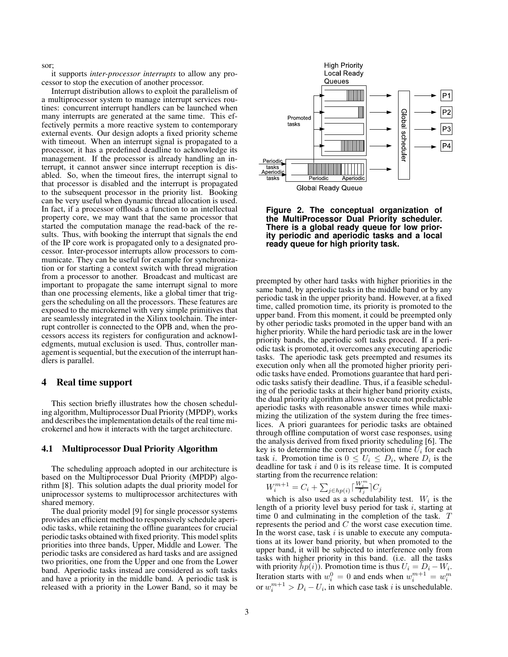sor;

it supports *inter-processor interrupts* to allow any processor to stop the execution of another processor.

Interrupt distribution allows to exploit the parallelism of a multiprocessor system to manage interrupt services routines: concurrent interrupt handlers can be launched when many interrupts are generated at the same time. This effectively permits a more reactive system to contemporary external events. Our design adopts a fixed priority scheme with timeout. When an interrupt signal is propagated to a processor, it has a predefined deadline to acknowledge its management. If the processor is already handling an interrupt, it cannot answer since interrupt reception is disabled. So, when the timeout fires, the interrupt signal to that processor is disabled and the interrupt is propagated to the subsequent processor in the priority list. Booking can be very useful when dynamic thread allocation is used. In fact, if a processor offloads a function to an intellectual property core, we may want that the same processor that started the computation manage the read-back of the results. Thus, with booking the interrupt that signals the end of the IP core work is propagated only to a designated processor. Inter-processor interrupts allow processors to communicate. They can be useful for example for synchronization or for starting a context switch with thread migration from a processor to another. Broadcast and multicast are important to propagate the same interrupt signal to more than one processing elements, like a global timer that triggers the scheduling on all the processors. These features are exposed to the microkernel with very simple primitives that are seamlessly integrated in the Xilinx toolchain. The interrupt controller is connected to the OPB and, when the processors access its registers for configuration and acknowledgments, mutual exclusion is used. Thus, controller management is sequential, but the execution of the interrupt handlers is parallel.

## 4 Real time support

This section briefly illustrates how the chosen scheduling algorithm, Multiprocessor Dual Priority (MPDP), works and describes the implementation details of the real time microkernel and how it interacts with the target architecture.

#### 4.1 Multiprocessor Dual Priority Algorithm

The scheduling approach adopted in our architecture is based on the Multiprocessor Dual Priority (MPDP) algorithm [8]. This solution adapts the dual priority model for uniprocessor systems to multiprocessor architectures with shared memory.

The dual priority model [9] for single processor systems provides an efficient method to responsively schedule aperiodic tasks, while retaining the offline guarantees for crucial periodic tasks obtained with fixed priority. This model splits priorities into three bands, Upper, Middle and Lower. The periodic tasks are considered as hard tasks and are assigned two priorities, one from the Upper and one from the Lower band. Aperiodic tasks instead are considered as soft tasks and have a priority in the middle band. A periodic task is released with a priority in the Lower Band, so it may be



**Figure 2. The conceptual organization of the MultiProcessor Dual Priority scheduler. There is a global ready queue for low priority periodic and aperiodic tasks and a local ready queue for high priority task.**

preempted by other hard tasks with higher priorities in the same band, by aperiodic tasks in the middle band or by any periodic task in the upper priority band. However, at a fixed time, called promotion time, its priority is promoted to the upper band. From this moment, it could be preempted only by other periodic tasks promoted in the upper band with an higher priority. While the hard periodic task are in the lower priority bands, the aperiodic soft tasks proceed. If a periodic task is promoted, it overcomes any executing aperiodic tasks. The aperiodic task gets preempted and resumes its execution only when all the promoted higher priority periodic tasks have ended. Promotions guarantee that hard periodic tasks satisfy their deadline. Thus, if a feasible scheduling of the periodic tasks at their higher band priority exists, the dual priority algorithm allows to execute not predictable aperiodic tasks with reasonable answer times while maximizing the utilization of the system during the free timeslices. A priori guarantees for periodic tasks are obtained through offline computation of worst case responses, using the analysis derived from fixed priority scheduling [6]. The key is to determine the correct promotion time  $U_i$  for each task *i*. Promotion time is  $0 \le U_i \le D_i$ , where  $D_i$  is the deadline for task  $i$  and  $0$  is its release time. It is computed starting from the recurrence relation:

$$
W_i^{m+1} = C_i + \sum_{j \in hp(i)} \lceil \frac{W_i^m}{T_j} \rceil C_j
$$

which is also used as a schedulability test.  $W_i$  is the length of a priority level busy period for task  $i$ , starting at time 0 and culminating in the completion of the task. T represents the period and  $C$  the worst case execution time. In the worst case, task  $i$  is unable to execute any computations at its lower band priority, but when promoted to the upper band, it will be subjected to interference only from tasks with higher priority in this band. (i.e. all the tasks with priority  $hp(i)$ ). Promotion time is thus  $U_i = D_i - W_i$ . Iteration starts with  $w_i^0 = 0$  and ends when  $w_i^{m+1} = w_i^m$ <br>or  $w_i^{m+1} > D_i - U_i$ , in which case task *i* is unschedulable.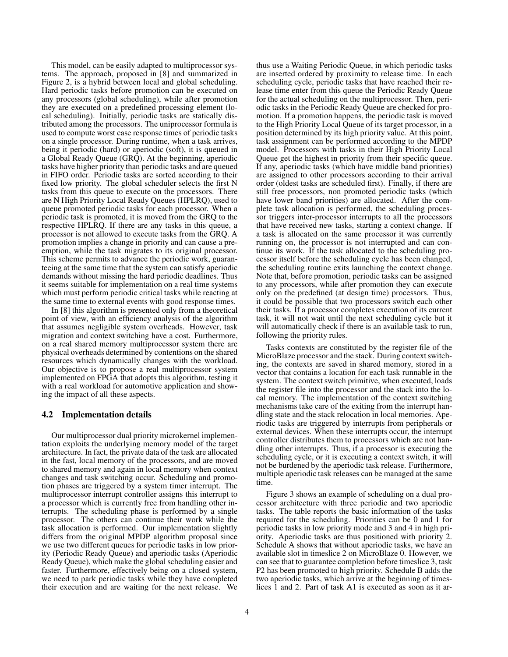This model, can be easily adapted to multiprocessor systems. The approach, proposed in [8] and summarized in Figure 2, is a hybrid between local and global scheduling. Hard periodic tasks before promotion can be executed on any processors (global scheduling), while after promotion they are executed on a predefined processing element (local scheduling). Initially, periodic tasks are statically distributed among the processors. The uniprocessor formula is used to compute worst case response times of periodic tasks on a single processor. During runtime, when a task arrives, being it periodic (hard) or aperiodic (soft), it is queued in a Global Ready Queue (GRQ). At the beginning, aperiodic tasks have higher priority than periodic tasks and are queued in FIFO order. Periodic tasks are sorted according to their fixed low priority. The global scheduler selects the first N tasks from this queue to execute on the processors. There are N High Priority Local Ready Queues (HPLRQ), used to queue promoted periodic tasks for each processor. When a periodic task is promoted, it is moved from the GRQ to the respective HPLRQ. If there are any tasks in this queue, a processor is not allowed to execute tasks from the GRQ. A promotion implies a change in priority and can cause a preemption, while the task migrates to its original processor. This scheme permits to advance the periodic work, guaranteeing at the same time that the system can satisfy aperiodic demands without missing the hard periodic deadlines. Thus it seems suitable for implementation on a real time systems which must perform periodic critical tasks while reacting at the same time to external events with good response times.

In [8] this algorithm is presented only from a theoretical point of view, with an efficiency analysis of the algorithm that assumes negligible system overheads. However, task migration and context switching have a cost. Furthermore, on a real shared memory multiprocessor system there are physical overheads determined by contentions on the shared resources which dynamically changes with the workload. Our objective is to propose a real multiprocessor system implemented on FPGA that adopts this algorithm, testing it with a real workload for automotive application and showing the impact of all these aspects.

#### 4.2 Implementation details

Our multiprocessor dual priority microkernel implementation exploits the underlying memory model of the target architecture. In fact, the private data of the task are allocated in the fast, local memory of the processors, and are moved to shared memory and again in local memory when context changes and task switching occur. Scheduling and promotion phases are triggered by a system timer interrupt. The multiprocessor interrupt controller assigns this interrupt to a processor which is currently free from handling other interrupts. The scheduling phase is performed by a single processor. The others can continue their work while the task allocation is performed. Our implementation slightly differs from the original MPDP algorithm proposal since we use two different queues for periodic tasks in low priority (Periodic Ready Queue) and aperiodic tasks (Aperiodic Ready Queue), which make the global scheduling easier and faster. Furthermore, effectively being on a closed system, we need to park periodic tasks while they have completed their execution and are waiting for the next release. We

thus use a Waiting Periodic Queue, in which periodic tasks are inserted ordered by proximity to release time. In each scheduling cycle, periodic tasks that have reached their release time enter from this queue the Periodic Ready Queue for the actual scheduling on the multiprocessor. Then, periodic tasks in the Periodic Ready Queue are checked for promotion. If a promotion happens, the periodic task is moved to the High Priority Local Queue of its target processor, in a position determined by its high priority value. At this point, task assignment can be performed according to the MPDP model. Processors with tasks in their High Priority Local Queue get the highest in priority from their specific queue. If any, aperiodic tasks (which have middle band priorities) are assigned to other processors according to their arrival order (oldest tasks are scheduled first). Finally, if there are still free processors, non promoted periodic tasks (which have lower band priorities) are allocated. After the complete task allocation is performed, the scheduling processor triggers inter-processor interrupts to all the processors that have received new tasks, starting a context change. If a task is allocated on the same processor it was currently running on, the processor is not interrupted and can continue its work. If the task allocated to the scheduling processor itself before the scheduling cycle has been changed, the scheduling routine exits launching the context change. Note that, before promotion, periodic tasks can be assigned to any processors, while after promotion they can execute only on the predefined (at design time) processors. Thus, it could be possible that two processors switch each other their tasks. If a processor completes execution of its current task, it will not wait until the next scheduling cycle but it will automatically check if there is an available task to run, following the priority rules.

Tasks contexts are constituted by the register file of the MicroBlaze processor and the stack. During context switching, the contexts are saved in shared memory, stored in a vector that contains a location for each task runnable in the system. The context switch primitive, when executed, loads the register file into the processor and the stack into the local memory. The implementation of the context switching mechanisms take care of the exiting from the interrupt handling state and the stack relocation in local memories. Aperiodic tasks are triggered by interrupts from peripherals or external devices. When these interrupts occur, the interrupt controller distributes them to processors which are not handling other interrupts. Thus, if a processor is executing the scheduling cycle, or it is executing a context switch, it will not be burdened by the aperiodic task release. Furthermore, multiple aperiodic task releases can be managed at the same time.

Figure 3 shows an example of scheduling on a dual processor architecture with three periodic and two aperiodic tasks. The table reports the basic information of the tasks required for the scheduling. Priorities can be 0 and 1 for periodic tasks in low priority mode and 3 and 4 in high priority. Aperiodic tasks are thus positioned with priority 2. Schedule A shows that without aperiodic tasks, we have an available slot in timeslice 2 on MicroBlaze 0. However, we can see that to guarantee completion before timeslice 3, task P2 has been promoted to high priority. Schedule B adds the two aperiodic tasks, which arrive at the beginning of timeslices 1 and 2. Part of task A1 is executed as soon as it ar-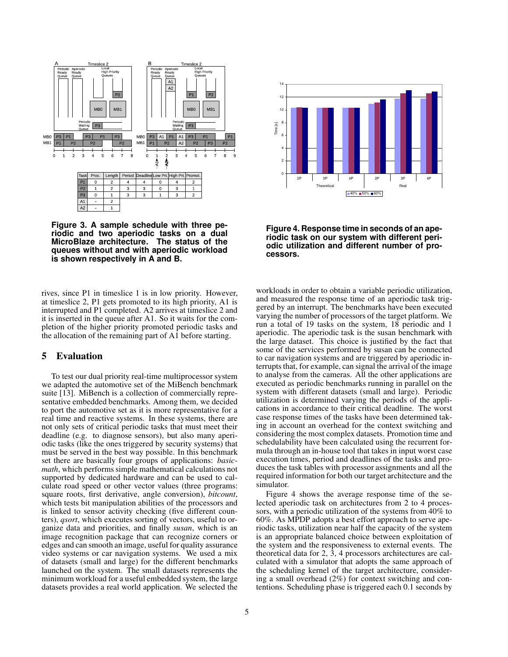

**Figure 3. A sample schedule with three periodic and two aperiodic tasks on a dual MicroBlaze architecture. The status of the queues without and with aperiodic workload is shown respectively in A and B.**

rives, since P1 in timeslice 1 is in low priority. However, at timeslice 2, P1 gets promoted to its high priority, A1 is interrupted and P1 completed. A2 arrives at timeslice 2 and it is inserted in the queue after A1. So it waits for the completion of the higher priority promoted periodic tasks and the allocation of the remaining part of A1 before starting.

## 5 Evaluation

To test our dual priority real-time multiprocessor system we adapted the automotive set of the MiBench benchmark suite [13]. MiBench is a collection of commercially representative embedded benchmarks. Among them, we decided to port the automotive set as it is more representative for a real time and reactive systems. In these systems, there are not only sets of critical periodic tasks that must meet their deadline (e.g. to diagnose sensors), but also many aperiodic tasks (like the ones triggered by security systems) that must be served in the best way possible. In this benchmark set there are basically four groups of applications: *basicmath*, which performs simple mathematical calculations not supported by dedicated hardware and can be used to calculate road speed or other vector values (three programs: square roots, first derivative, angle conversion), *bitcount*, which tests bit manipulation abilities of the processors and is linked to sensor activity checking (five different counters), *qsort*, which executes sorting of vectors, useful to organize data and priorities, and finally *susan*, which is an image recognition package that can recognize corners or edges and can smooth an image, useful for quality assurance video systems or car navigation systems. We used a mix of datasets (small and large) for the different benchmarks launched on the system. The small datasets represents the minimum workload for a useful embedded system, the large datasets provides a real world application. We selected the



**Figure 4. Response time in seconds of an aperiodic task on our system with different periodic utilization and different number of processors.**

workloads in order to obtain a variable periodic utilization, and measured the response time of an aperiodic task triggered by an interrupt. The benchmarks have been executed varying the number of processors of the target platform. We run a total of 19 tasks on the system, 18 periodic and 1 aperiodic. The aperiodic task is the susan benchmark with the large dataset. This choice is justified by the fact that some of the services performed by susan can be connected to car navigation systems and are triggered by aperiodic interrupts that, for example, can signal the arrival of the image to analyse from the cameras. All the other applications are executed as periodic benchmarks running in parallel on the system with different datasets (small and large). Periodic utilization is determined varying the periods of the applications in accordance to their critical deadline. The worst case response times of the tasks have been determined taking in account an overhead for the context switching and considering the most complex datasets. Promotion time and schedulability have been calculated using the recurrent formula through an in-house tool that takes in input worst case execution times, period and deadlines of the tasks and produces the task tables with processor assignments and all the required information for both our target architecture and the simulator.

Figure 4 shows the average response time of the selected aperiodic task on architectures from 2 to 4 processors, with a periodic utilization of the systems from 40% to 60%. As MPDP adopts a best effort approach to serve aperiodic tasks, utilization near half the capacity of the system is an appropriate balanced choice between exploitation of the system and the responsiveness to external events. The theoretical data for 2, 3, 4 processors architectures are calculated with a simulator that adopts the same approach of the scheduling kernel of the target architecture, considering a small overhead (2%) for context switching and contentions. Scheduling phase is triggered each 0.1 seconds by